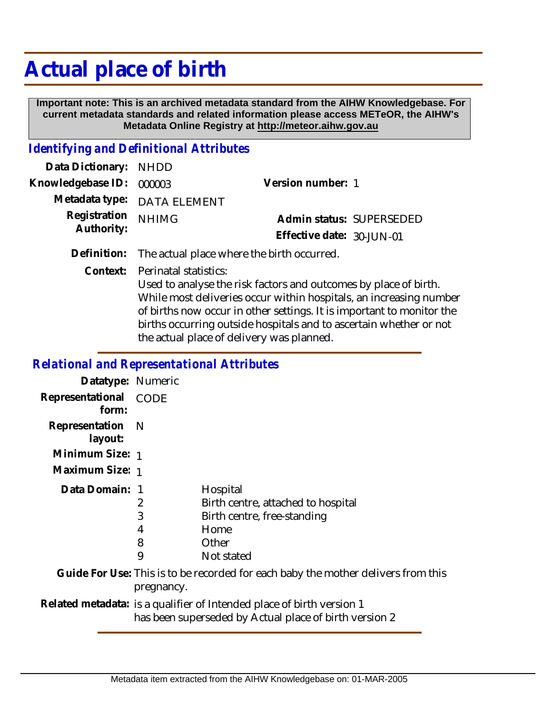## **Actual place of birth**

 **Important note: This is an archived metadata standard from the AIHW Knowledgebase. For current metadata standards and related information please access METeOR, the AIHW's Metadata Online Registry at http://meteor.aihw.gov.au**

## *Identifying and Definitional Attributes*

| Data Dictionary: NHDD      |                             |                           |  |
|----------------------------|-----------------------------|---------------------------|--|
| Knowledgebase ID: 000003   |                             | Version number: 1         |  |
|                            | Metadata type: DATA ELEMENT |                           |  |
| Registration<br>Authority: | <b>NHIMG</b>                | Admin status: SUPERSEDED  |  |
|                            |                             | Effective date: 30-JUN-01 |  |
|                            |                             |                           |  |

**Definition:** The actual place where the birth occurred.

Perinatal statistics: **Context:**

> Used to analyse the risk factors and outcomes by place of birth. While most deliveries occur within hospitals, an increasing number of births now occur in other settings. It is important to monitor the births occurring outside hospitals and to ascertain whether or not the actual place of delivery was planned.

## *Relational and Representational Attributes*

| Datatype: Numeric         |                                                                                                                                 |                                                                                                              |
|---------------------------|---------------------------------------------------------------------------------------------------------------------------------|--------------------------------------------------------------------------------------------------------------|
| Representational<br>form: | CODE                                                                                                                            |                                                                                                              |
| Representation<br>layout: | - N                                                                                                                             |                                                                                                              |
| Minimum Size: 1           |                                                                                                                                 |                                                                                                              |
| Maximum Size: 1           |                                                                                                                                 |                                                                                                              |
| Data Domain: 1            | 2<br>3<br>4<br>8<br>9                                                                                                           | Hospital<br>Birth centre, attached to hospital<br>Birth centre, free-standing<br>Home<br>Other<br>Not stated |
|                           | pregnancy.                                                                                                                      | Guide For Use: This is to be recorded for each baby the mother delivers from this                            |
|                           | Related metadata: is a qualifier of Intended place of birth version 1<br>has been superseded by Actual place of birth version 2 |                                                                                                              |